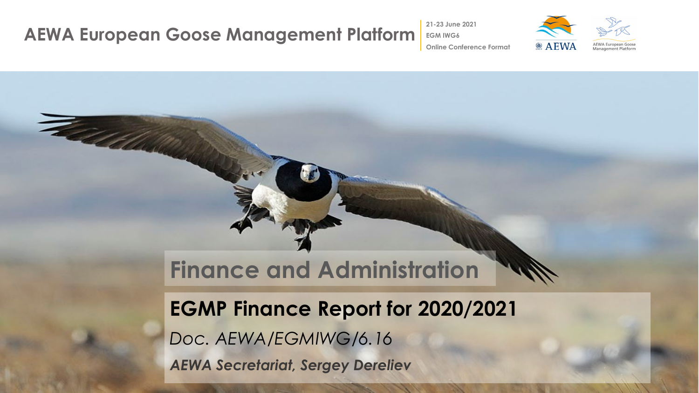Fallelle

**21-23 June 2021**



**Online Conference Format**

# **Finance and Administration**

## **EGMP Finance Report for 2020/2021**

*Doc. AEWA/EGMIWG/6.16* 

*AEWA Secretariat, Sergey Dereliev*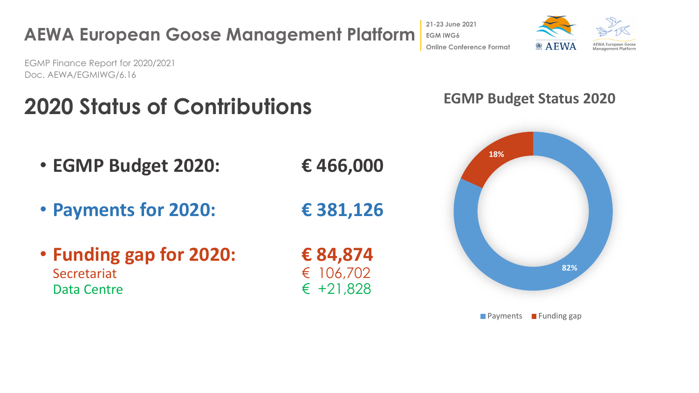

#### **AEWA European Goose Management Platform 21-23 June 2021 EGM IWG6 Online Conference Format**

EGMP Finance Report for 2020/2021 Doc. AEWA/EGMIWG/6.16

# **2020 Status of Contributions**

- **EGMP Budget 2020: € 466,000**
- 

#### **EGMP Budget Status 2020**



**Payments Funding gap** 

 $\odot$  AEWA EWA European Goos Management Platfor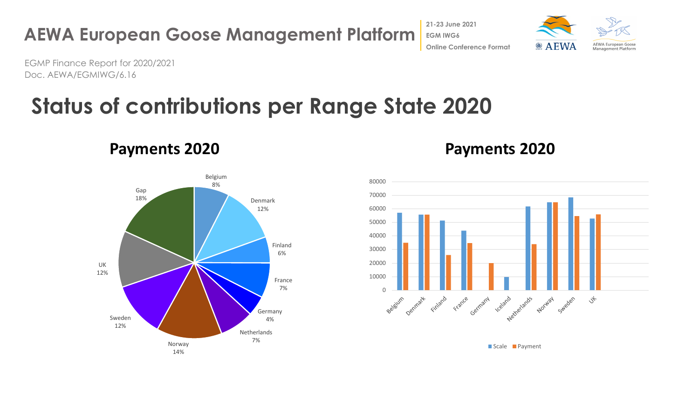

 $\circledcirc$  AEWA **AEWA European Goose** Management Platform

EGMP Finance Report for 2020/2021 Doc. AEWA/EGMIWG/6.16

# **Status of contributions per Range State 2020**

Belgium 8% Denmark 12% Finland 6% France 7% Germany 4% **Netherlands** 7% Norway 14% Sweden 12% UK 12% Gap 18%

#### **Payments 2020 Payments 2020**



Scale **Payment**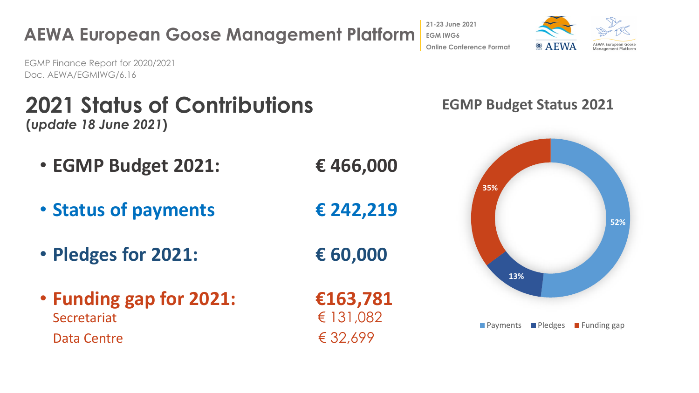

**2021 Status of Contributions** 

EGMP Finance Report for 2020/2021

Doc. AEWA/EGMIWG/6.16

- **(***update 18 June 2021***)**
	-

**EGM IWG6 Online Conference Format**

**21-23 June 2021**



#### **EGMP Budget Status 2021**

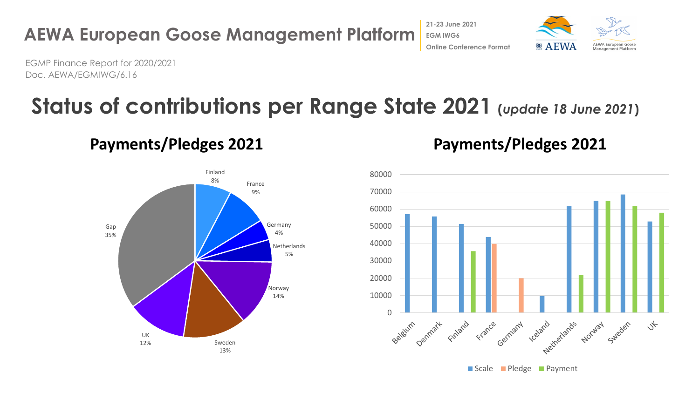

EGMP Finance Report for 2020/2021

Doc. AEWA/EGMIWG/6.16

# **Status of contributions per Range State 2021 (***update 18 June 2021***)**



**21-23 June 2021 EGM IWG6**



Scale Pledge Payment

 $\circledcirc$  AEWA **Online Conference Format**

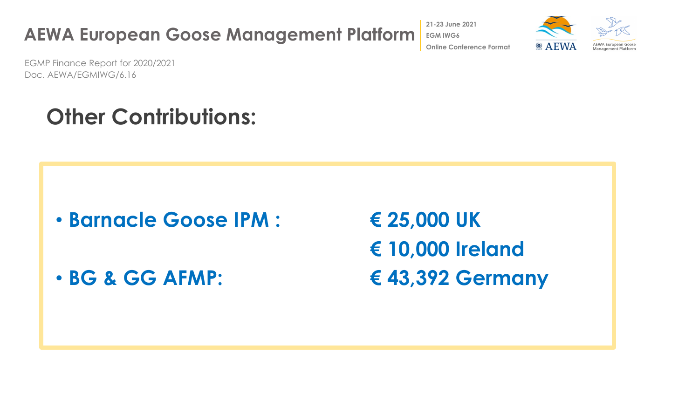**AEWA European Goose Management Platform 21-23 June 2021 EGM IWG6 Online Conference Format**

EGMP Finance Report for 2020/2021 Doc. AEWA/EGMIWG/6.16

# **Other Contributions:**

• **Barnacle Goose IPM : € 25,000 UK**

**€ 10,000 Ireland** • **BG & GG AFMP: € 43,392 Germany**

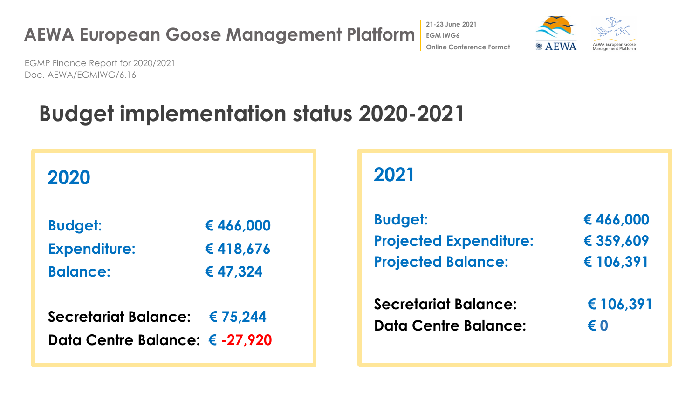**21-23 June 2021 EGM IWG6**  $\circledcirc$  AEWA **Online Conference Format**



EGMP Finance Report for 2020/2021 Doc. AEWA/EGMIWG/6.16

# **Budget implementation status 2020-2021**

| 2020                          |          |
|-------------------------------|----------|
| <b>Budget:</b>                | €466,000 |
| <b>Expenditure:</b>           | €418,676 |
| <b>Balance:</b>               | € 47,324 |
| <b>Secretariat Balance:</b>   | € 75,244 |
| Data Centre Balance: €-27,920 |          |

## **2021**

| <b>Budget:</b>                | € 466,000 |
|-------------------------------|-----------|
| <b>Projected Expenditure:</b> | € 359,609 |
| <b>Projected Balance:</b>     | € 106,391 |
| <b>Secretariat Balance:</b>   | € 106,391 |
| <b>Data Centre Balance:</b>   | € 0       |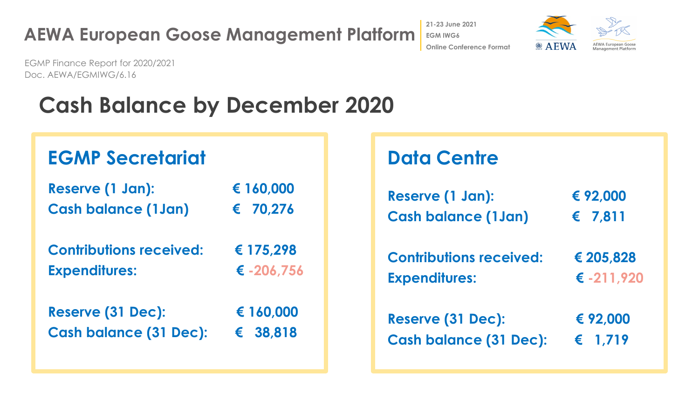**21-23 June 2021 EGM IWG6 Online Conference Format**  $\bullet$  A EWA



EGMP Finance Report for 2020/2021 Doc. AEWA/EGMIWG/6.16

# **Cash Balance by December 2020**

#### **EGMP Secretariat**

| Reserve (1 Jan):               | € 160,000    |
|--------------------------------|--------------|
| <b>Cash balance (1Jan)</b>     | € 70,276     |
| <b>Contributions received:</b> | € 175,298    |
| <b>Expenditures:</b>           | € $-206,756$ |
| <b>Reserve (31 Dec):</b>       | € 160,000    |
| <b>Cash balance (31 Dec):</b>  | € 38,818     |

## **Data Centre**

| Reserve (1 Jan):               | € 92,000         |  |
|--------------------------------|------------------|--|
| <b>Cash balance (1Jan)</b>     | € 7,811          |  |
| <b>Contributions received:</b> | € 205,828        |  |
| <b>Expenditures:</b>           | € -211,920       |  |
| Reserve (31 Dec):              | € 92,000         |  |
| <b>Cash balance (31 Dec):</b>  | $\epsilon$ 1.719 |  |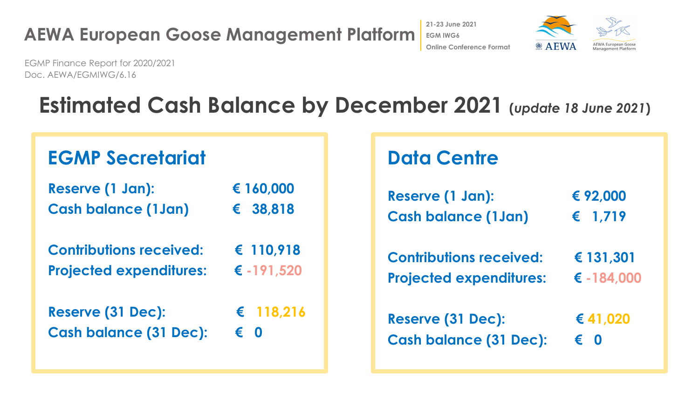





EGMP Finance Report for 2020/2021 Doc. AEWA/EGMIWG/6.16

# **Estimated Cash Balance by December 2021 (***update 18 June 2021***)**

| Reserve (1 Jan):               | € 160,000  |  |
|--------------------------------|------------|--|
| <b>Cash balance (1Jan)</b>     | € 38,818   |  |
| <b>Contributions received:</b> | € 110,918  |  |
| <b>Projected expenditures:</b> | € -191,520 |  |
| Reserve (31 Dec):              | € 118,216  |  |
| <b>Cash balance (31 Dec):</b>  | €          |  |

### **Data Centre**

| Reserve (1 Jan):               | € 92,000       |
|--------------------------------|----------------|
| <b>Cash balance (1Jan)</b>     | € 1,719        |
| <b>Contributions received:</b> | € 131,301      |
| <b>Projected expenditures:</b> | € $-184,000$   |
| <b>Reserve (31 Dec):</b>       | € 41,020       |
| <b>Cash balance (31 Dec):</b>  | $\bullet$<br>€ |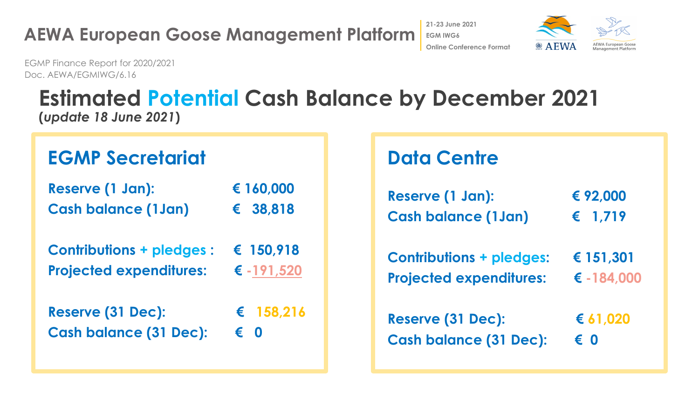



EGMP Finance Report for 2020/2021 Doc. AEWA/EGMIWG/6.16

## **Estimated Potential Cash Balance by December 2021 (***update 18 June 2021***)**

#### **EGMP Secretariat**

| Reserve (1 Jan):           | € 160,000 |
|----------------------------|-----------|
| <b>Cash balance (1Jan)</b> | € 38,818  |

| <b>Contributions + pledges:</b> | $\epsilon$ 150,918 |
|---------------------------------|--------------------|
| <b>Projected expenditures:</b>  | € $-191,520$       |

| Reserve (31 Dec):             |              | $\epsilon$ 158,216 |
|-------------------------------|--------------|--------------------|
| <b>Cash balance (31 Dec):</b> | $\epsilon$ 0 |                    |

### **Data Centre**

| Reserve (1 Jan):                | € 92,000     |
|---------------------------------|--------------|
| <b>Cash balance (1Jan)</b>      | € $1,719$    |
| <b>Contributions + pledges:</b> | € 151,301    |
| <b>Projected expenditures:</b>  | € $-184,000$ |
| Reserve (31 Dec):               | € $61,020$   |
| <b>Cash balance (31 Dec):</b>   | € 0          |